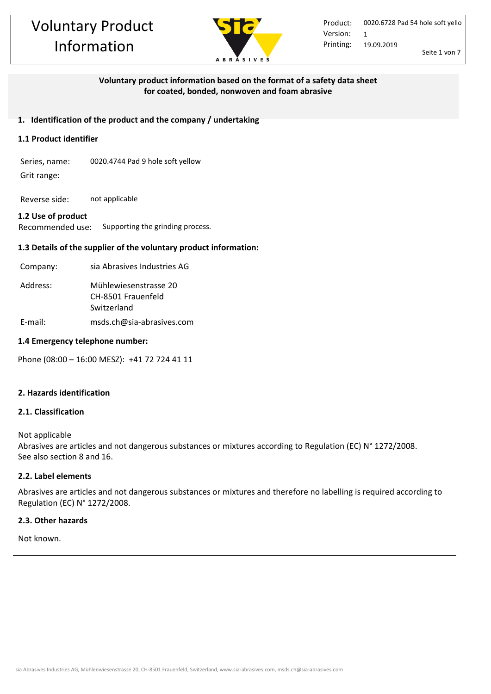

## **Voluntary product information based on the format of a safety data sheet for coated, bonded, nonwoven and foam abrasive**

## **1. Identification of the product and the company / undertaking**

## **1.1 Product identifier**

Series, name: 0020.4744 Pad 9 hole soft yellow Grit range:

Reverse side: not applicable

## **1.2 Use of product**

Recommended use: Supporting the grinding process.

## **1.3 Details of the supplier of the voluntary product information:**

| Company: | sia Abrasives Industries AG                                |
|----------|------------------------------------------------------------|
| Address: | Mühlewiesenstrasse 20<br>CH-8501 Frauenfeld<br>Switzerland |
| E-mail:  | msds.ch@sia-abrasives.com                                  |

## **1.4 Emergency telephone number:**

Phone (08:00 – 16:00 MESZ): +41 72 724 41 11

## **2. Hazards identification**

## **2.1. Classification**

Not applicable Abrasives are articles and not dangerous substances or mixtures according to Regulation (EC) N° 1272/2008. See also section 8 and 16.

## **2.2. Label elements**

Abrasives are articles and not dangerous substances or mixtures and therefore no labelling is required according to Regulation (EC) N° 1272/2008.

#### **2.3. Other hazards**

Not known.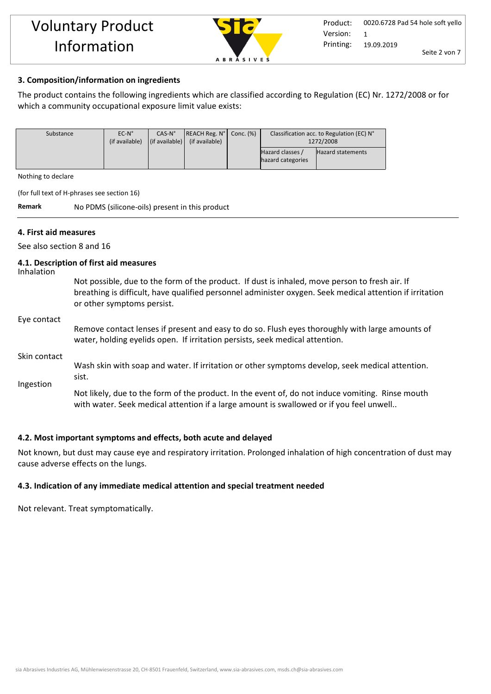

## **3. Composition/information on ingredients**

The product contains the following ingredients which are classified according to Regulation (EC) Nr. 1272/2008 or for which a community occupational exposure limit value exists:

| Substance | $EC-N^{\circ}$ | $CAS-N°$                       | REACH Reg. N <sup>o</sup> | Conc. $(\%)$ | Classification acc. to Regulation (EC) N° |                          |
|-----------|----------------|--------------------------------|---------------------------|--------------|-------------------------------------------|--------------------------|
|           | (if available) | $\vert$ (if available) $\vert$ | (if available)            |              | 1272/2008                                 |                          |
|           |                |                                |                           |              | Hazard classes                            | <b>Hazard statements</b> |
|           |                |                                |                           |              | hazard categories                         |                          |
|           |                |                                |                           |              |                                           |                          |

Nothing to declare

(for full text of H-phrases see section 16)

**Remark** No PDMS (silicone-oils) present in this product

## **4. First aid measures**

See also section 8 and 16

#### **4.1. Description of first aid measures**

Inhalation

Not possible, due to the form of the product. If dust is inhaled, move person to fresh air. If breathing is difficult, have qualified personnel administer oxygen. Seek medical attention if irritation or other symptoms persist.

#### Eye contact

Remove contact lenses if present and easy to do so. Flush eyes thoroughly with large amounts of water, holding eyelids open. If irritation persists, seek medical attention.

#### Skin contact

Wash skin with soap and water. If irritation or other symptoms develop, seek medical attention. sist.

Ingestion

Not likely, due to the form of the product. In the event of, do not induce vomiting. Rinse mouth with water. Seek medical attention if a large amount is swallowed or if you feel unwell..

## **4.2. Most important symptoms and effects, both acute and delayed**

Not known, but dust may cause eye and respiratory irritation. Prolonged inhalation of high concentration of dust may cause adverse effects on the lungs.

## **4.3. Indication of any immediate medical attention and special treatment needed**

Not relevant. Treat symptomatically.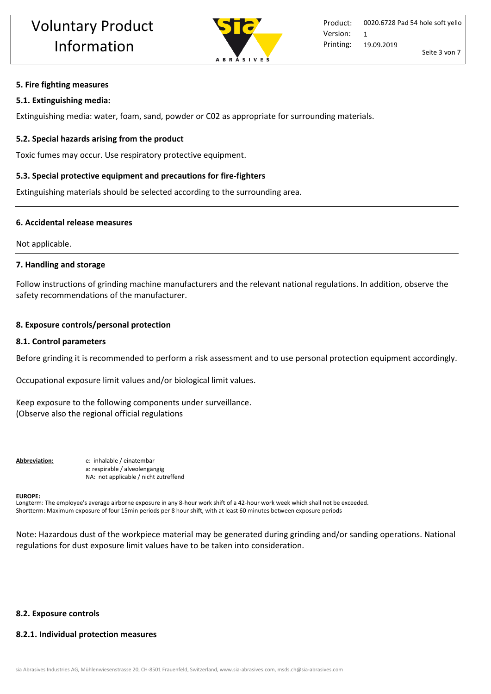

#### **5. Fire fighting measures**

#### **5.1. Extinguishing media:**

Extinguishing media: water, foam, sand, powder or C02 as appropriate for surrounding materials.

#### **5.2. Special hazards arising from the product**

Toxic fumes may occur. Use respiratory protective equipment.

#### **5.3. Special protective equipment and precautions for fire-fighters**

Extinguishing materials should be selected according to the surrounding area.

#### **6. Accidental release measures**

Not applicable.

#### **7. Handling and storage**

Follow instructions of grinding machine manufacturers and the relevant national regulations. In addition, observe the safety recommendations of the manufacturer.

#### **8. Exposure controls/personal protection**

#### **8.1. Control parameters**

Before grinding it is recommended to perform a risk assessment and to use personal protection equipment accordingly.

Occupational exposure limit values and/or biological limit values.

Keep exposure to the following components under surveillance. (Observe also the regional official regulations

**Abbreviation:** e: inhalable / einatembar a: respirable / alveolengängig NA: not applicable / nicht zutreffend

#### **EUROPE:**

Longterm: The employee's average airborne exposure in any 8-hour work shift of a 42-hour work week which shall not be exceeded. Shortterm: Maximum exposure of four 15min periods per 8 hour shift, with at least 60 minutes between exposure periods

Note: Hazardous dust of the workpiece material may be generated during grinding and/or sanding operations. National regulations for dust exposure limit values have to be taken into consideration.

## **8.2. Exposure controls**

#### **8.2.1. Individual protection measures**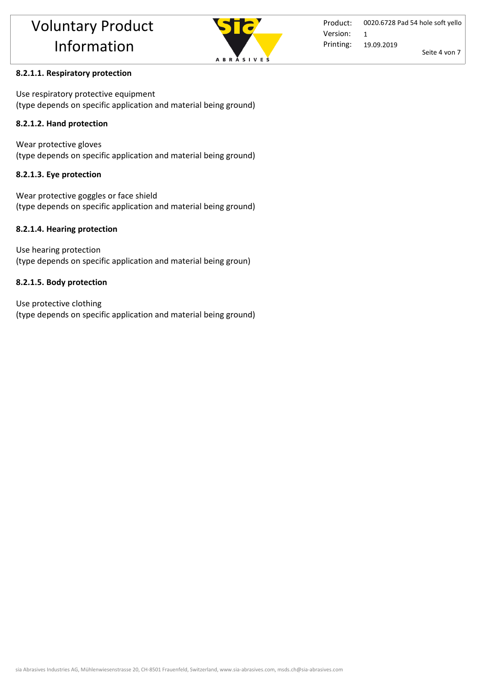

## **8.2.1.1. Respiratory protection**

Use respiratory protective equipment (type depends on specific application and material being ground)

## **8.2.1.2. Hand protection**

Wear protective gloves (type depends on specific application and material being ground)

## **8.2.1.3. Eye protection**

Wear protective goggles or face shield (type depends on specific application and material being ground)

## **8.2.1.4. Hearing protection**

Use hearing protection (type depends on specific application and material being groun)

## **8.2.1.5. Body protection**

Use protective clothing (type depends on specific application and material being ground)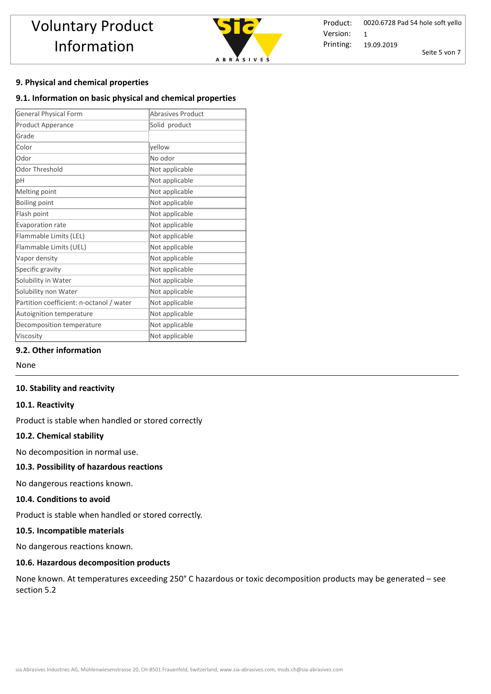

Product: Printing: 0020.6728 Pad 54 hole soft yello 19.09.2019 Seite 5 von 7 Version: 1

## **9. Physical and chemical properties**

#### **9.1. Information on basic physical and chemical properties**

| <b>General Physical Form</b>             | <b>Abrasives Product</b> |  |  |
|------------------------------------------|--------------------------|--|--|
| Product Apperance                        | Solid product            |  |  |
| Grade                                    |                          |  |  |
| Color                                    | yellow                   |  |  |
| Odor                                     | No odor                  |  |  |
| Odor Threshold                           | Not applicable           |  |  |
| pH                                       | Not applicable           |  |  |
| Melting point                            | Not applicable           |  |  |
| Boiling point                            | Not applicable           |  |  |
| Flash point                              | Not applicable           |  |  |
| Evaporation rate                         | Not applicable           |  |  |
| Flammable Limits (LEL)                   | Not applicable           |  |  |
| Flammable Limits (UEL)                   | Not applicable           |  |  |
| Vapor density                            | Not applicable           |  |  |
| Specific gravity                         | Not applicable           |  |  |
| Solubility in Water                      | Not applicable           |  |  |
| Solubility non Water                     | Not applicable           |  |  |
| Partition coefficient: n-octanol / water | Not applicable           |  |  |
| Autoignition temperature                 | Not applicable           |  |  |
| Decomposition temperature                | Not applicable           |  |  |
| Viscosity                                | Not applicable           |  |  |

## **9.2. Other information**

None

#### **10. Stability and reactivity**

#### **10.1. Reactivity**

Product is stable when handled or stored correctly

#### **10.2. Chemical stability**

No decomposition in normal use.

## **10.3. Possibility of hazardous reactions**

No dangerous reactions known.

#### **10.4. Conditions to avoid**

Product is stable when handled or stored correctly. 

#### **10.5. Incompatible materials**

No dangerous reactions known.

#### **10.6. Hazardous decomposition products**

None known. At temperatures exceeding 250° C hazardous or toxic decomposition products may be generated – see section 5.2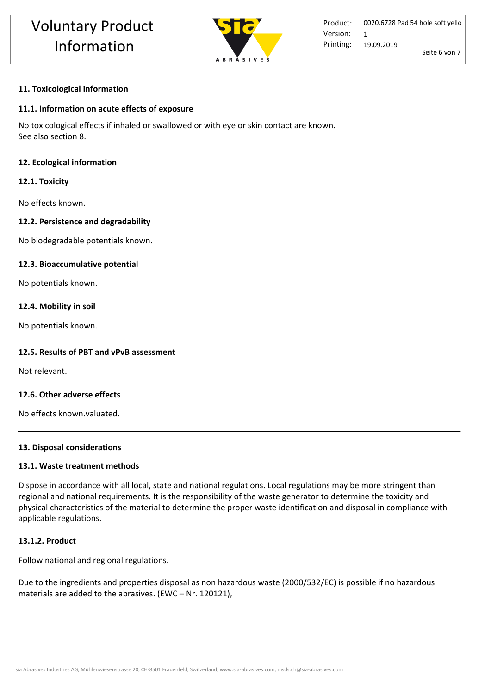

#### **11. Toxicological information**

#### **11.1. Information on acute effects of exposure**

No toxicological effects if inhaled or swallowed or with eye or skin contact are known. See also section 8.

#### **12. Ecological information**

#### **12.1. Toxicity**

No effects known.

#### **12.2. Persistence and degradability**

No biodegradable potentials known.

#### **12.3. Bioaccumulative potential**

No potentials known.

#### **12.4. Mobility in soil**

No potentials known.

#### **12.5. Results of PBT and vPvB assessment**

Not relevant.

## **12.6. Other adverse effects**

No effects known.valuated.

#### **13. Disposal considerations**

#### **13.1. Waste treatment methods**

Dispose in accordance with all local, state and national regulations. Local regulations may be more stringent than regional and national requirements. It is the responsibility of the waste generator to determine the toxicity and physical characteristics of the material to determine the proper waste identification and disposal in compliance with applicable regulations.

## **13.1.2. Product**

Follow national and regional regulations.

Due to the ingredients and properties disposal as non hazardous waste (2000/532/EC) is possible if no hazardous materials are added to the abrasives. (EWC – Nr. 120121),